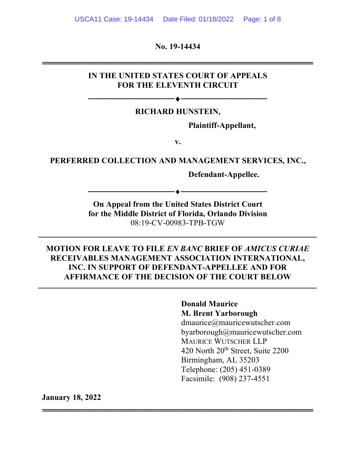**No. 19-14434**

═══════════════════════════════════════════════

### **IN THE UNITED STATES COURT OF APPEALS FOR THE ELEVENTH CIRCUIT**

### **RICHARD HUNSTEIN,**

──────────<del>─────</del>

**Plaintiff-Appellant,**

**v.**

# **PERFERRED COLLECTION AND MANAGEMENT SERVICES, INC.,**

**Defendant-Appellee.**

**On Appeal from the United States District Court for the Middle District of Florida, Orlando Division** 08:19-CV-00983-TPB-TGW

──────────<del>─</del>

### **MOTION FOR LEAVE TO FILE** *EN BANC* **BRIEF OF** *AMICUS CURIAE* **RECEIVABLES MANAGEMENT ASSOCIATION INTERNATIONAL, INC. IN SUPPORT OF DEFENDANT-APPELLEE AND FOR AFFIRMANCE OF THE DECISION OF THE COURT BELOW**

═══════════════════════════════════════════════

### **Donald Maurice M. Brent Yarborough**

dmaurice@mauricewutscher.com byarborough@mauricewutscher.com MAURICE WUTSCHER LLP 420 North 20<sup>th</sup> Street, Suite 2200 Birmingham, AL 35203 Telephone: (205) 451-0389 Facsimile: (908) 237-4551

**January 18, 2022**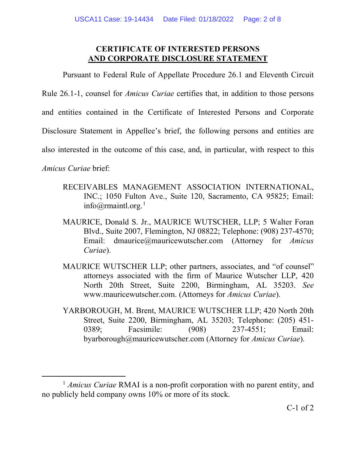### **CERTIFICATE OF INTERESTED PERSONS AND CORPORATE DISCLOSURE STATEMENT**

Pursuant to Federal Rule of Appellate Procedure 26.1 and Eleventh Circuit

Rule 26.1-1, counsel for *Amicus Curiae* certifies that, in addition to those persons

and entities contained in the Certificate of Interested Persons and Corporate

Disclosure Statement in Appellee's brief, the following persons and entities are

also interested in the outcome of this case, and, in particular, with respect to this

*Amicus Curiae* brief:

- RECEIVABLES MANAGEMENT ASSOCIATION INTERNATIONAL, INC.; 1050 Fulton Ave., Suite 120, Sacramento, CA 95825; Email: info@rmaintl.org. [1](#page-17-0)
- MAURICE, Donald S. Jr., MAURICE WUTSCHER, LLP; 5 Walter Foran Blvd., Suite 2007, Flemington, NJ 08822; Telephone: (908) 237-4570; Email: dmaurice@mauricewutscher.com (Attorney for *Amicus Curiae*).
- MAURICE WUTSCHER LLP; other partners, associates, and "of counsel" attorneys associated with the firm of Maurice Wutscher LLP, 420 North 20th Street, Suite 2200, Birmingham, AL 35203. *See* www.mauricewutscher.com. (Attorneys for *Amicus Curiae*).
- YARBOROUGH, M. Brent, MAURICE WUTSCHER LLP; 420 North 20th Street, Suite 2200, Birmingham, AL 35203; Telephone: (205) 451- 0389; Facsimile: (908) 237-4551; Email: byarborough@mauricewutscher.com (Attorney for *Amicus Curiae*).

<sup>&</sup>lt;sup>1</sup> *Amicus Curiae* RMAI is a non-profit corporation with no parent entity, and no publicly held company owns 10% or more of its stock.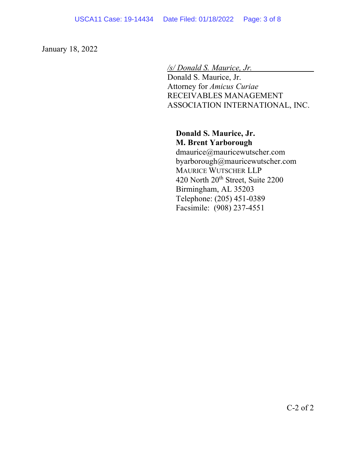January 18, 2022

*/s/ Donald S. Maurice, Jr.* Donald S. Maurice, Jr. Attorney for *Amicus Curiae* RECEIVABLES MANAGEMENT ASSOCIATION INTERNATIONAL, INC.

### **Donald S. Maurice, Jr. M. Brent Yarborough**

dmaurice@mauricewutscher.com byarborough@mauricewutscher.com MAURICE WUTSCHER LLP 420 North 20<sup>th</sup> Street, Suite 2200 Birmingham, AL 35203 Telephone: (205) 451-0389 Facsimile: (908) 237-4551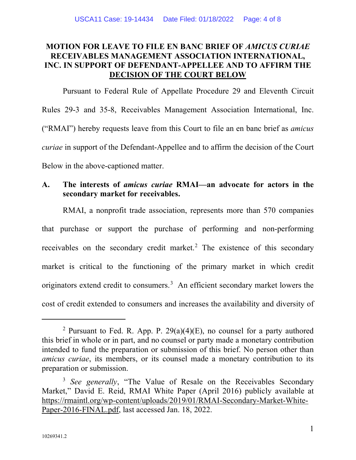# **MOTION FOR LEAVE TO FILE EN BANC BRIEF OF** *AMICUS CURIAE* **RECEIVABLES MANAGEMENT ASSOCIATION INTERNATIONAL, INC. IN SUPPORT OF DEFENDANT-APPELLEE AND TO AFFIRM THE DECISION OF THE COURT BELOW**

Pursuant to Federal Rule of Appellate Procedure 29 and Eleventh Circuit Rules 29-3 and 35-8, Receivables Management Association International, Inc. ("RMAI") hereby requests leave from this Court to file an en banc brief as *amicus curiae* in support of the Defendant-Appellee and to affirm the decision of the Court Below in the above-captioned matter.

# **A. The interests of** *amicus curiae* **RMAI—an advocate for actors in the secondary market for receivables.**

RMAI, a nonprofit trade association, represents more than 570 companies that purchase or support the purchase of performing and non-performing receivables on the secondary credit market.<sup>[2](#page-17-0)</sup> The existence of this secondary market is critical to the functioning of the primary market in which credit originators extend credit to consumers. $3$  An efficient secondary market lowers the cost of credit extended to consumers and increases the availability and diversity of

<sup>&</sup>lt;sup>2</sup> Pursuant to Fed. R. App. P.  $29(a)(4)(E)$ , no counsel for a party authored this brief in whole or in part, and no counsel or party made a monetary contribution intended to fund the preparation or submission of this brief. No person other than *amicus curiae*, its members, or its counsel made a monetary contribution to its preparation or submission.

<sup>&</sup>lt;sup>3</sup> *See generally*, "The Value of Resale on the Receivables Secondary Market," David E. Reid, RMAI White Paper (April 2016) publicly available at https://rmaintl.org/wp-content/uploads/2019/01/RMAI-Secondary-Market-White-Paper-2016-FINAL.pdf, last accessed Jan. 18, 2022.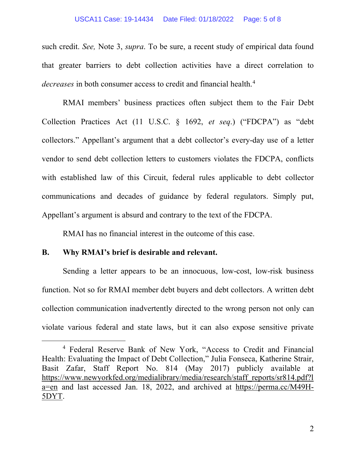such credit. *See,* Note 3, *supra*. To be sure, a recent study of empirical data found that greater barriers to debt collection activities have a direct correlation to *decreases* in both consumer access to credit and financial health.[4](#page-17-0)

RMAI members' business practices often subject them to the Fair Debt Collection Practices Act (11 U.S.C. § 1692, *et seq*.) ("FDCPA") as "debt collectors." Appellant's argument that a debt collector's every-day use of a letter vendor to send debt collection letters to customers violates the FDCPA, conflicts with established law of this Circuit, federal rules applicable to debt collector communications and decades of guidance by federal regulators. Simply put, Appellant's argument is absurd and contrary to the text of the FDCPA.

RMAI has no financial interest in the outcome of this case.

### **B. Why RMAI's brief is desirable and relevant.**

Sending a letter appears to be an innocuous, low-cost, low-risk business function. Not so for RMAI member debt buyers and debt collectors. A written debt collection communication inadvertently directed to the wrong person not only can violate various federal and state laws, but it can also expose sensitive private

<sup>4</sup> Federal Reserve Bank of New York, "Access to Credit and Financial Health: Evaluating the Impact of Debt Collection," Julia Fonseca, Katherine Strair, Basit Zafar, Staff Report No. 814 (May 2017) publicly available at https://www.newyorkfed.org/medialibrary/media/research/staff\_reports/sr814.pdf?l a=en and last accessed Jan. 18, 2022, and archived at https://perma.cc/M49H-5DYT.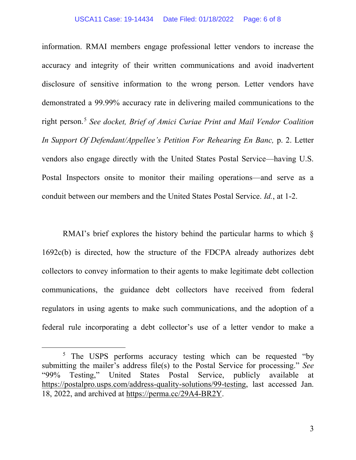#### USCA11 Case: 19-14434 Date Filed: 01/18/2022 Page: 6 of 8

information. RMAI members engage professional letter vendors to increase the accuracy and integrity of their written communications and avoid inadvertent disclosure of sensitive information to the wrong person. Letter vendors have demonstrated a 99.99% accuracy rate in delivering mailed communications to the right person.[5](#page-17-0) *See docket, Brief of Amici Curiae Print and Mail Vendor Coalition In Support Of Defendant/Appellee's Petition For Rehearing En Banc,* p. 2. Letter vendors also engage directly with the United States Postal Service—having U.S. Postal Inspectors onsite to monitor their mailing operations—and serve as a conduit between our members and the United States Postal Service. *Id.*, at 1-2.

RMAI's brief explores the history behind the particular harms to which  $\S$ 1692c(b) is directed, how the structure of the FDCPA already authorizes debt collectors to convey information to their agents to make legitimate debt collection communications, the guidance debt collectors have received from federal regulators in using agents to make such communications, and the adoption of a federal rule incorporating a debt collector's use of a letter vendor to make a

3

<sup>&</sup>lt;sup>5</sup> The USPS performs accuracy testing which can be requested "by submitting the mailer's address file(s) to the Postal Service for processing." *See* "99% Testing," United States Postal Service, publicly available at https://postalpro.usps.com/address-quality-solutions/99-testing, last accessed Jan. 18, 2022, and archived at https://perma.cc/29A4-BR2Y.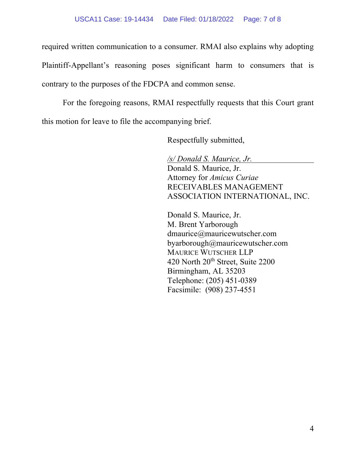required written communication to a consumer. RMAI also explains why adopting Plaintiff-Appellant's reasoning poses significant harm to consumers that is contrary to the purposes of the FDCPA and common sense.

For the foregoing reasons, RMAI respectfully requests that this Court grant this motion for leave to file the accompanying brief.

Respectfully submitted,

*/s/ Donald S. Maurice, Jr.* Donald S. Maurice, Jr. Attorney for *Amicus Curiae* RECEIVABLES MANAGEMENT ASSOCIATION INTERNATIONAL, INC.

Donald S. Maurice, Jr. M. Brent Yarborough dmaurice@mauricewutscher.com byarborough@mauricewutscher.com MAURICE WUTSCHER LLP 420 North 20<sup>th</sup> Street, Suite 2200 Birmingham, AL 35203 Telephone: (205) 451-0389 Facsimile: (908) 237-4551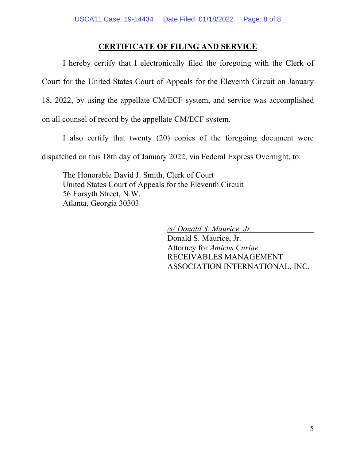## **CERTIFICATE OF FILING AND SERVICE**

I hereby certify that I electronically filed the foregoing with the Clerk of Court for the United States Court of Appeals for the Eleventh Circuit on January 18, 2022, by using the appellate CM/ECF system, and service was accomplished on all counsel of record by the appellate CM/ECF system.

I also certify that twenty (20) copies of the foregoing document were

dispatched on this 18th day of January 2022, via Federal Express Overnight, to:

The Honorable David J. Smith, Clerk of Court United States Court of Appeals for the Eleventh Circuit 56 Forsyth Street, N.W. Atlanta, Georgia 30303

*/s/ Donald S. Maurice, Jr.*

Donald S. Maurice, Jr. Attorney for *Amicus Curiae* RECEIVABLES MANAGEMENT ASSOCIATION INTERNATIONAL, INC.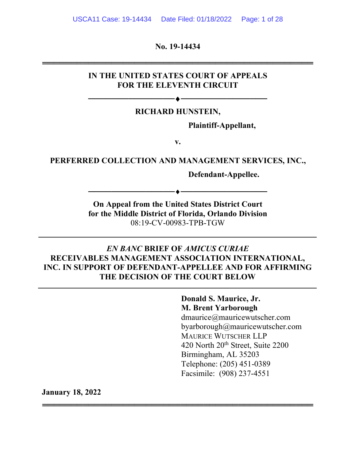**No. 19-14434**

═══════════════════════════════════════════════

### **IN THE UNITED STATES COURT OF APPEALS FOR THE ELEVENTH CIRCUIT**

### **RICHARD HUNSTEIN,**

──────────<del>─────</del>

**Plaintiff-Appellant,**

**v.**

## **PERFERRED COLLECTION AND MANAGEMENT SERVICES, INC.,**

**Defendant-Appellee.**

**On Appeal from the United States District Court for the Middle District of Florida, Orlando Division** 08:19-CV-00983-TPB-TGW

─────────<del>─</del>◆────────────────────

## *EN BANC* **BRIEF OF** *AMICUS CURIAE* **RECEIVABLES MANAGEMENT ASSOCIATION INTERNATIONAL, INC. IN SUPPORT OF DEFENDANT-APPELLEE AND FOR AFFIRMING THE DECISION OF THE COURT BELOW**

═══════════════════════════════════════════════

**Donald S. Maurice, Jr. M. Brent Yarborough** dmaurice@mauricewutscher.com byarborough@mauricewutscher.com MAURICE WUTSCHER LLP 420 North 20<sup>th</sup> Street, Suite 2200 Birmingham, AL 35203 Telephone: (205) 451-0389 Facsimile: (908) 237-4551

**January 18, 2022**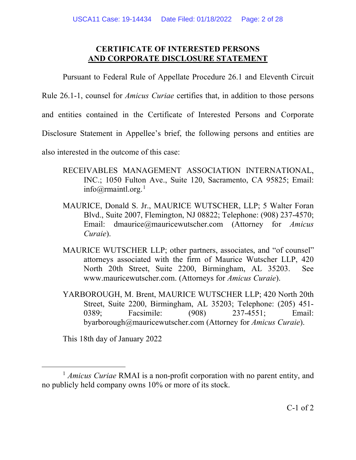## **CERTIFICATE OF INTERESTED PERSONS AND CORPORATE DISCLOSURE STATEMENT**

Pursuant to Federal Rule of Appellate Procedure 26.1 and Eleventh Circuit

Rule 26.1-1, counsel for *Amicus Curiae* certifies that, in addition to those persons

and entities contained in the Certificate of Interested Persons and Corporate

Disclosure Statement in Appellee's brief, the following persons and entities are

also interested in the outcome of this case:

- RECEIVABLES MANAGEMENT ASSOCIATION INTERNATIONAL, INC.; 1050 Fulton Ave., Suite 120, Sacramento, CA 95825; Email: info@rmaintl.org.<sup>[1](#page-17-0)</sup>
- MAURICE, Donald S. Jr., MAURICE WUTSCHER, LLP; 5 Walter Foran Blvd., Suite 2007, Flemington, NJ 08822; Telephone: (908) 237-4570; Email: dmaurice@mauricewutscher.com (Attorney for *Amicus Curaie*).
- MAURICE WUTSCHER LLP; other partners, associates, and "of counsel" attorneys associated with the firm of Maurice Wutscher LLP, 420 North 20th Street, Suite 2200, Birmingham, AL 35203. See www.mauricewutscher.com. (Attorneys for *Amicus Curaie*).
- YARBOROUGH, M. Brent, MAURICE WUTSCHER LLP; 420 North 20th Street, Suite 2200, Birmingham, AL 35203; Telephone: (205) 451- 0389; Facsimile: (908) 237-4551; Email: byarborough@mauricewutscher.com (Attorney for *Amicus Curaie*).

This 18th day of January 2022

<sup>1</sup> *Amicus Curiae* RMAI is a non-profit corporation with no parent entity, and no publicly held company owns 10% or more of its stock.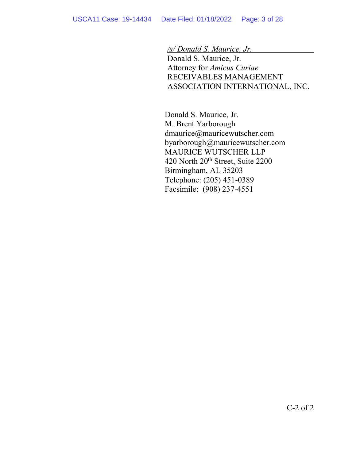*/s/ Donald S. Maurice, Jr.*

Donald S. Maurice, Jr. Attorney for *Amicus Curiae* RECEIVABLES MANAGEMENT ASSOCIATION INTERNATIONAL, INC.

Donald S. Maurice, Jr. M. Brent Yarborough dmaurice@mauricewutscher.com byarborough@mauricewutscher.com MAURICE WUTSCHER LLP 420 North 20<sup>th</sup> Street, Suite 2200 Birmingham, AL 35203 Telephone: (205) 451-0389 Facsimile: (908) 237-4551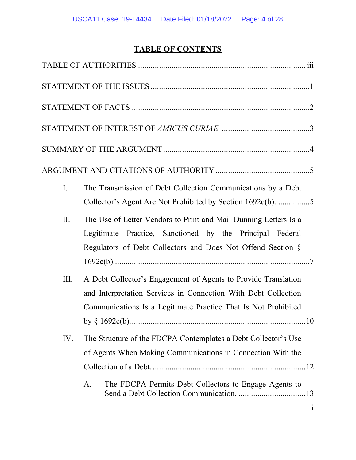# **TABLE OF CONTENTS**

| I.   | The Transmission of Debt Collection Communications by a Debt<br>Collector's Agent Are Not Prohibited by Section 1692c(b)5                                                                          |
|------|----------------------------------------------------------------------------------------------------------------------------------------------------------------------------------------------------|
| II.  | The Use of Letter Vendors to Print and Mail Dunning Letters Is a<br>Legitimate Practice, Sanctioned by the Principal Federal<br>Regulators of Debt Collectors and Does Not Offend Section §        |
| III. | A Debt Collector's Engagement of Agents to Provide Translation<br>and Interpretation Services in Connection With Debt Collection<br>Communications Is a Legitimate Practice That Is Not Prohibited |
| IV.  | The Structure of the FDCPA Contemplates a Debt Collector's Use<br>of Agents When Making Communications in Connection With the                                                                      |
|      | The FDCPA Permits Debt Collectors to Engage Agents to<br>A.<br>$\mathbf{1}$                                                                                                                        |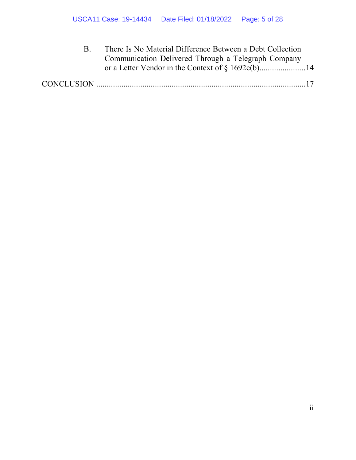| There Is No Material Difference Between a Debt Collection |  |  |
|-----------------------------------------------------------|--|--|
| Communication Delivered Through a Telegraph Company       |  |  |
|                                                           |  |  |
|                                                           |  |  |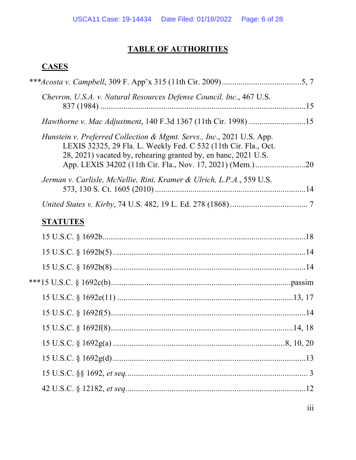# **TABLE OF AUTHORITIES**

# **CASES**

| Chevron, U.S.A. v. Natural Resources Defense Council, Inc., 467 U.S.                                                                                                                                       |  |
|------------------------------------------------------------------------------------------------------------------------------------------------------------------------------------------------------------|--|
|                                                                                                                                                                                                            |  |
| Hunstein v. Preferred Collection & Mgmt. Servs., Inc., 2021 U.S. App.<br>LEXIS 32325, 29 Fla. L. Weekly Fed. C 532 (11th Cir. Fla., Oct.<br>28, 2021) vacated by, rehearing granted by, en banc, 2021 U.S. |  |
| Jerman v. Carlisle, McNellie, Rini, Kramer & Ulrich, L.P.A., 559 U.S.                                                                                                                                      |  |
|                                                                                                                                                                                                            |  |
| <b>STATUTES</b>                                                                                                                                                                                            |  |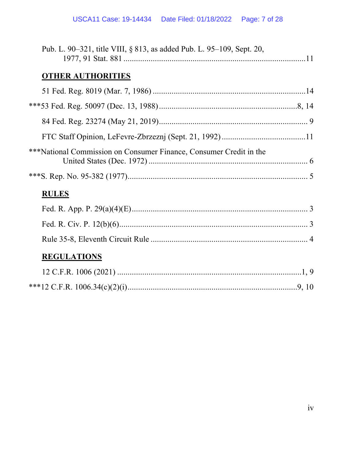| Pub. L. 90–321, title VIII, § 813, as added Pub. L. 95–109, Sept. 20, |  |
|-----------------------------------------------------------------------|--|
| <b>OTHER AUTHORITIES</b>                                              |  |
|                                                                       |  |
|                                                                       |  |
|                                                                       |  |
|                                                                       |  |
| ***National Commission on Consumer Finance, Consumer Credit in the    |  |
|                                                                       |  |
| <b>RULES</b>                                                          |  |
|                                                                       |  |
|                                                                       |  |
|                                                                       |  |
| <b>REGULATIONS</b>                                                    |  |
|                                                                       |  |
|                                                                       |  |
|                                                                       |  |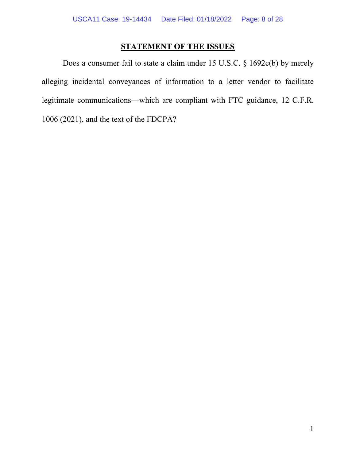# **STATEMENT OF THE ISSUES**

Does a consumer fail to state a claim under 15 U.S.C. § 1692c(b) by merely alleging incidental conveyances of information to a letter vendor to facilitate legitimate communications—which are compliant with FTC guidance, 12 C.F.R. 1006 (2021), and the text of the FDCPA?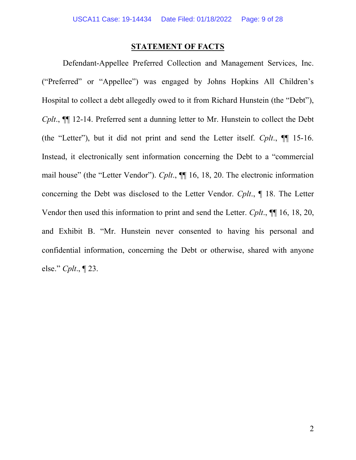### **STATEMENT OF FACTS**

Defendant-Appellee Preferred Collection and Management Services, Inc. ("Preferred" or "Appellee") was engaged by Johns Hopkins All Children's Hospital to collect a debt allegedly owed to it from Richard Hunstein (the "Debt"), *Cplt.*,  $\P$  12-14. Preferred sent a dunning letter to Mr. Hunstein to collect the Debt (the "Letter"), but it did not print and send the Letter itself. *Cplt*., ¶¶ 15-16. Instead, it electronically sent information concerning the Debt to a "commercial mail house" (the "Letter Vendor"). *Cplt*., ¶¶ 16, 18, 20. The electronic information concerning the Debt was disclosed to the Letter Vendor. *Cplt*., ¶ 18. The Letter Vendor then used this information to print and send the Letter. *Cplt*., ¶¶ 16, 18, 20, and Exhibit B. "Mr. Hunstein never consented to having his personal and confidential information, concerning the Debt or otherwise, shared with anyone else." *Cplt*., ¶ 23.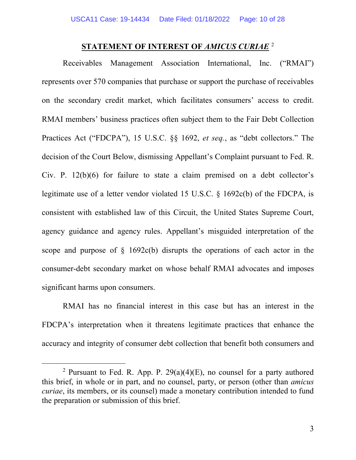### **STATEMENT OF INTEREST OF** *AMICUS CURIAE* [2](#page-17-0)

Receivables Management Association International, Inc. ("RMAI") represents over 570 companies that purchase or support the purchase of receivables on the secondary credit market, which facilitates consumers' access to credit. RMAI members' business practices often subject them to the Fair Debt Collection Practices Act ("FDCPA"), 15 U.S.C. §§ 1692, *et seq.*, as "debt collectors." The decision of the Court Below, dismissing Appellant's Complaint pursuant to Fed. R. Civ. P. 12(b)(6) for failure to state a claim premised on a debt collector's legitimate use of a letter vendor violated 15 U.S.C. § 1692c(b) of the FDCPA, is consistent with established law of this Circuit, the United States Supreme Court, agency guidance and agency rules. Appellant's misguided interpretation of the scope and purpose of  $\S$  1692c(b) disrupts the operations of each actor in the consumer-debt secondary market on whose behalf RMAI advocates and imposes significant harms upon consumers.

RMAI has no financial interest in this case but has an interest in the FDCPA's interpretation when it threatens legitimate practices that enhance the accuracy and integrity of consumer debt collection that benefit both consumers and

<span id="page-17-0"></span><sup>&</sup>lt;sup>2</sup> Pursuant to Fed. R. App. P.  $29(a)(4)(E)$ , no counsel for a party authored this brief, in whole or in part, and no counsel, party, or person (other than *amicus curiae*, its members, or its counsel) made a monetary contribution intended to fund the preparation or submission of this brief.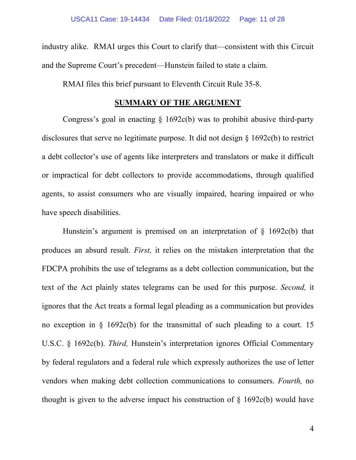industry alike. RMAI urges this Court to clarify that—consistent with this Circuit and the Supreme Court's precedent—Hunstein failed to state a claim.

RMAI files this brief pursuant to Eleventh Circuit Rule 35-8.

### **SUMMARY OF THE ARGUMENT**

Congress's goal in enacting  $\S$  1692c(b) was to prohibit abusive third-party disclosures that serve no legitimate purpose. It did not design § 1692c(b) to restrict a debt collector's use of agents like interpreters and translators or make it difficult or impractical for debt collectors to provide accommodations, through qualified agents, to assist consumers who are visually impaired, hearing impaired or who have speech disabilities.

Hunstein's argument is premised on an interpretation of  $\S$  1692c(b) that produces an absurd result. *First,* it relies on the mistaken interpretation that the FDCPA prohibits the use of telegrams as a debt collection communication, but the text of the Act plainly states telegrams can be used for this purpose. *Second,* it ignores that the Act treats a formal legal pleading as a communication but provides no exception in § 1692c(b) for the transmittal of such pleading to a court. 15 U.S.C. § 1692c(b). *Third,* Hunstein's interpretation ignores Official Commentary by federal regulators and a federal rule which expressly authorizes the use of letter vendors when making debt collection communications to consumers. *Fourth,* no thought is given to the adverse impact his construction of  $\S$  1692c(b) would have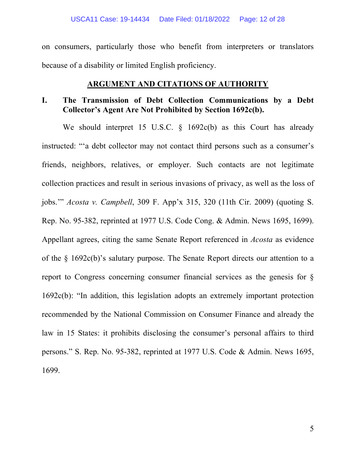on consumers, particularly those who benefit from interpreters or translators because of a disability or limited English proficiency.

### **ARGUMENT AND CITATIONS OF AUTHORITY**

### **I. The Transmission of Debt Collection Communications by a Debt Collector's Agent Are Not Prohibited by Section 1692c(b).**

We should interpret 15 U.S.C. § 1692c(b) as this Court has already instructed: "'a debt collector may not contact third persons such as a consumer's friends, neighbors, relatives, or employer. Such contacts are not legitimate collection practices and result in serious invasions of privacy, as well as the loss of jobs.'" *Acosta v. Campbell*, 309 F. App'x 315, 320 (11th Cir. 2009) (quoting S. Rep. No. 95-382, reprinted at 1977 U.S. Code Cong. & Admin. News 1695, 1699). Appellant agrees, citing the same Senate Report referenced in *Acosta* as evidence of the § 1692c(b)'s salutary purpose. The Senate Report directs our attention to a report to Congress concerning consumer financial services as the genesis for § 1692c(b): "In addition, this legislation adopts an extremely important protection recommended by the National Commission on Consumer Finance and already the law in 15 States: it prohibits disclosing the consumer's personal affairs to third persons." S. Rep. No. 95-382, reprinted at 1977 U.S. Code & Admin. News 1695, 1699.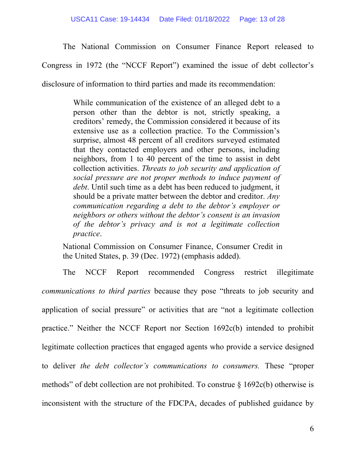The National Commission on Consumer Finance Report released to

Congress in 1972 (the "NCCF Report") examined the issue of debt collector's

disclosure of information to third parties and made its recommendation:

While communication of the existence of an alleged debt to a person other than the debtor is not, strictly speaking, a creditors' remedy, the Commission considered it because of its extensive use as a collection practice. To the Commission's surprise, almost 48 percent of all creditors surveyed estimated that they contacted employers and other persons, including neighbors, from 1 to 40 percent of the time to assist in debt collection activities. *Threats to job security and application of social pressure are not proper methods to induce payment of debt*. Until such time as a debt has been reduced to judgment, it should be a private matter between the debtor and creditor. *Any communication regarding a debt to the debtor's employer or neighbors or others without the debtor's consent is an invasion of the debtor's privacy and is not a legitimate collection practice*.

National Commission on Consumer Finance, Consumer Credit in the United States, p. 39 (Dec. 1972) (emphasis added).

The NCCF Report recommended Congress restrict illegitimate *communications to third parties* because they pose "threats to job security and application of social pressure" or activities that are "not a legitimate collection practice." Neither the NCCF Report nor Section 1692c(b) intended to prohibit legitimate collection practices that engaged agents who provide a service designed to deliver *the debt collector's communications to consumers.* These "proper methods" of debt collection are not prohibited. To construe  $\S 1692c(b)$  otherwise is inconsistent with the structure of the FDCPA, decades of published guidance by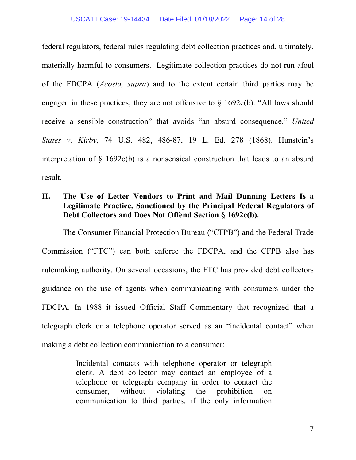federal regulators, federal rules regulating debt collection practices and, ultimately, materially harmful to consumers. Legitimate collection practices do not run afoul of the FDCPA (*Acosta, supra*) and to the extent certain third parties may be engaged in these practices, they are not offensive to  $\S$  1692c(b). "All laws should receive a sensible construction" that avoids "an absurd consequence." *United States v. Kirby*, 74 U.S. 482, 486-87, 19 L. Ed. 278 (1868). Hunstein's interpretation of § 1692c(b) is a nonsensical construction that leads to an absurd result.

# **II. The Use of Letter Vendors to Print and Mail Dunning Letters Is a Legitimate Practice, Sanctioned by the Principal Federal Regulators of Debt Collectors and Does Not Offend Section § 1692c(b).**

The Consumer Financial Protection Bureau ("CFPB") and the Federal Trade Commission ("FTC") can both enforce the FDCPA, and the CFPB also has rulemaking authority. On several occasions, the FTC has provided debt collectors guidance on the use of agents when communicating with consumers under the FDCPA. In 1988 it issued Official Staff Commentary that recognized that a telegraph clerk or a telephone operator served as an "incidental contact" when making a debt collection communication to a consumer:

> Incidental contacts with telephone operator or telegraph clerk. A debt collector may contact an employee of a telephone or telegraph company in order to contact the consumer, without violating the prohibition on communication to third parties, if the only information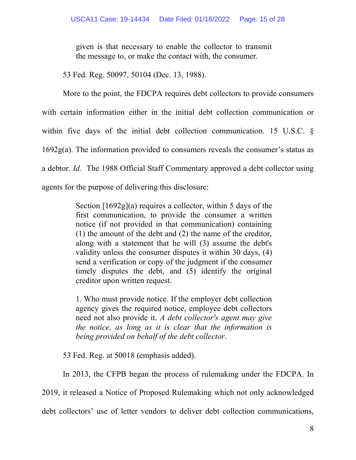given is that necessary to enable the collector to transmit the message to, or make the contact with, the consumer.

53 Fed. Reg. 50097, 50104 (Dec. 13, 1988).

More to the point, the FDCPA requires debt collectors to provide consumers with certain information either in the initial debt collection communication or within five days of the initial debt collection communication. 15 U.S.C. § 1692g(a). The information provided to consumers reveals the consumer's status as a debtor. *Id.* The 1988 Official Staff Commentary approved a debt collector using agents for the purpose of delivering this disclosure:

> Section [1692g](a) requires a collector, within 5 days of the first communication, to provide the consumer a written notice (if not provided in that communication) containing (1) the amount of the debt and (2) the name of the creditor, along with a statement that he will (3) assume the debt's validity unless the consumer disputes it within 30 days, (4) send a verification or copy of the judgment if the consumer timely disputes the debt, and (5) identify the original creditor upon written request.

> 1. Who must provide notice. If the employer debt collection agency gives the required notice, employee debt collectors need not also provide it. *A debt collector's agent may give the notice, as long as it is clear that the information is being provided on behalf of the debt collector*.

53 Fed. Reg. at 50018 (emphasis added).

In 2013, the CFPB began the process of rulemaking under the FDCPA. In

2019, it released a Notice of Proposed Rulemaking which not only acknowledged

debt collectors' use of letter vendors to deliver debt collection communications,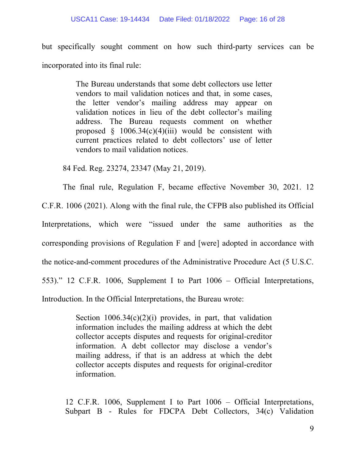but specifically sought comment on how such third-party services can be incorporated into its final rule:

> The Bureau understands that some debt collectors use letter vendors to mail validation notices and that, in some cases, the letter vendor's mailing address may appear on validation notices in lieu of the debt collector's mailing address. The Bureau requests comment on whether proposed  $§$  1006.34(c)(4)(iii) would be consistent with current practices related to debt collectors' use of letter vendors to mail validation notices.

84 Fed. Reg. 23274, 23347 (May 21, 2019).

The final rule, Regulation F, became effective November 30, 2021. 12

C.F.R. 1006 (2021). Along with the final rule, the CFPB also published its Official Interpretations, which were "issued under the same authorities as the corresponding provisions of Regulation F and [were] adopted in accordance with the notice-and-comment procedures of the Administrative Procedure Act (5 U.S.C. 553)." 12 C.F.R. 1006, Supplement I to Part 1006 – Official Interpretations,

Introduction. In the Official Interpretations, the Bureau wrote:

Section  $1006.34(c)(2)(i)$  provides, in part, that validation information includes the mailing address at which the debt collector accepts disputes and requests for original-creditor information. A debt collector may disclose a vendor's mailing address, if that is an address at which the debt collector accepts disputes and requests for original-creditor information.

12 C.F.R. 1006, Supplement I to Part 1006 – Official Interpretations, Subpart B - Rules for FDCPA Debt Collectors, 34(c) Validation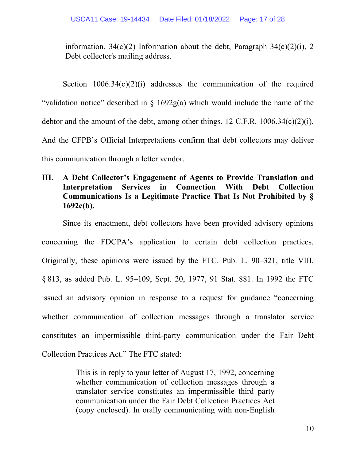information,  $34(c)(2)$  Information about the debt, Paragraph  $34(c)(2)(i)$ , 2 Debt collector's mailing address.

Section  $1006.34(c)(2)(i)$  addresses the communication of the required "validation notice" described in  $\S$  1692g(a) which would include the name of the debtor and the amount of the debt, among other things. 12 C.F.R.  $1006.34(c)(2)(i)$ . And the CFPB's Official Interpretations confirm that debt collectors may deliver this communication through a letter vendor.

# **III. A Debt Collector's Engagement of Agents to Provide Translation and Interpretation Services in Connection With Debt Collection Communications Is a Legitimate Practice That Is Not Prohibited by § 1692c(b).**

Since its enactment, debt collectors have been provided advisory opinions concerning the FDCPA's application to certain debt collection practices. Originally, these opinions were issued by the FTC. Pub. L. 90–321, title VIII, § 813, as added Pub. L. 95–109, Sept. 20, 1977, 91 Stat. 881. In 1992 the FTC issued an advisory opinion in response to a request for guidance "concerning whether communication of collection messages through a translator service constitutes an impermissible third-party communication under the Fair Debt Collection Practices Act." The FTC stated:

> This is in reply to your letter of August 17, 1992, concerning whether communication of collection messages through a translator service constitutes an impermissible third party communication under the Fair Debt Collection Practices Act (copy enclosed). In orally communicating with non-English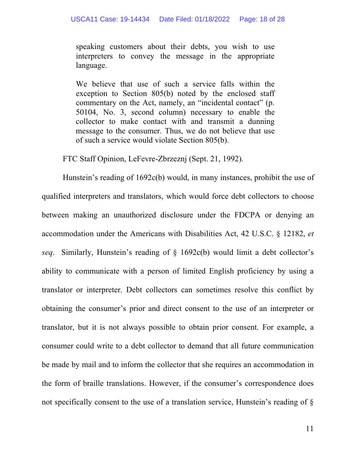speaking customers about their debts, you wish to use interpreters to convey the message in the appropriate language.

We believe that use of such a service falls within the exception to Section 805(b) noted by the enclosed staff commentary on the Act, namely, an "incidental contact" (p. 50104, No. 3, second column) necessary to enable the collector to make contact with and transmit a dunning message to the consumer. Thus, we do not believe that use of such a service would violate Section 805(b).

FTC Staff Opinion, LeFevre-Zbrzeznj (Sept. 21, 1992).

Hunstein's reading of 1692c(b) would, in many instances, prohibit the use of qualified interpreters and translators, which would force debt collectors to choose between making an unauthorized disclosure under the FDCPA or denying an accommodation under the Americans with Disabilities Act, 42 U.S.C. § 12182, *et seq*. Similarly, Hunstein's reading of § 1692c(b) would limit a debt collector's ability to communicate with a person of limited English proficiency by using a translator or interpreter. Debt collectors can sometimes resolve this conflict by obtaining the consumer's prior and direct consent to the use of an interpreter or translator, but it is not always possible to obtain prior consent. For example, a consumer could write to a debt collector to demand that all future communication be made by mail and to inform the collector that she requires an accommodation in the form of braille translations. However, if the consumer's correspondence does not specifically consent to the use of a translation service, Hunstein's reading of §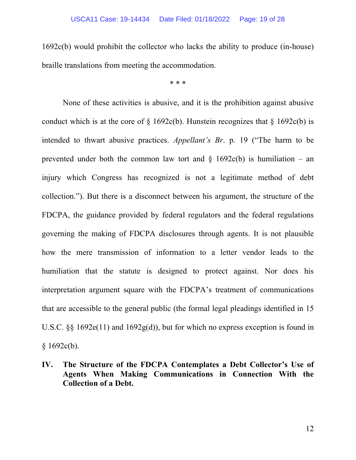1692c(b) would prohibit the collector who lacks the ability to produce (in-house) braille translations from meeting the accommodation.

\* \* \*

None of these activities is abusive, and it is the prohibition against abusive conduct which is at the core of  $\S$  1692c(b). Hunstein recognizes that  $\S$  1692c(b) is intended to thwart abusive practices. *Appellant's Br*. p. 19 ("The harm to be prevented under both the common law tort and  $\S$  1692c(b) is humiliation – an injury which Congress has recognized is not a legitimate method of debt collection."). But there is a disconnect between his argument, the structure of the FDCPA, the guidance provided by federal regulators and the federal regulations governing the making of FDCPA disclosures through agents. It is not plausible how the mere transmission of information to a letter vendor leads to the humiliation that the statute is designed to protect against. Nor does his interpretation argument square with the FDCPA's treatment of communications that are accessible to the general public (the formal legal pleadings identified in 15 U.S.C. §§ 1692e(11) and 1692g(d)), but for which no express exception is found in  $$1692c(b).$ 

**IV. The Structure of the FDCPA Contemplates a Debt Collector's Use of Agents When Making Communications in Connection With the Collection of a Debt.**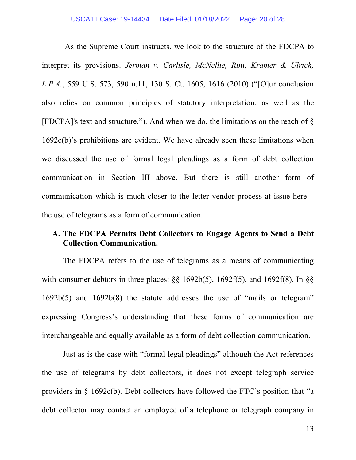As the Supreme Court instructs, we look to the structure of the FDCPA to interpret its provisions. *Jerman v. Carlisle, McNellie, Rini, Kramer & Ulrich, L.P.A.*, 559 U.S. 573, 590 n.11, 130 S. Ct. 1605, 1616 (2010) ("[O]ur conclusion also relies on common principles of statutory interpretation, as well as the [FDCPA]'s text and structure."). And when we do, the limitations on the reach of § 1692c(b)'s prohibitions are evident. We have already seen these limitations when we discussed the use of formal legal pleadings as a form of debt collection communication in Section III above. But there is still another form of communication which is much closer to the letter vendor process at issue here – the use of telegrams as a form of communication.

### **A. The FDCPA Permits Debt Collectors to Engage Agents to Send a Debt Collection Communication.**

The FDCPA refers to the use of telegrams as a means of communicating with consumer debtors in three places:  $\S$ § 1692b(5), 1692f(5), and 1692f(8). In  $\S$ § 1692b(5) and 1692b(8) the statute addresses the use of "mails or telegram" expressing Congress's understanding that these forms of communication are interchangeable and equally available as a form of debt collection communication.

Just as is the case with "formal legal pleadings" although the Act references the use of telegrams by debt collectors, it does not except telegraph service providers in § 1692c(b). Debt collectors have followed the FTC's position that "a debt collector may contact an employee of a telephone or telegraph company in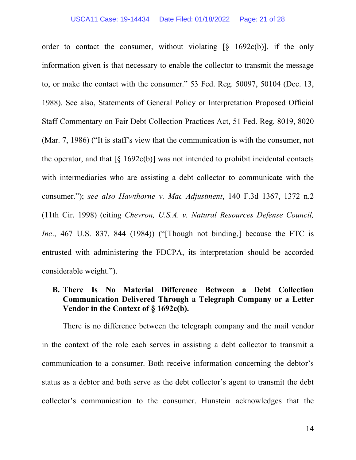#### USCA11 Case: 19-14434 Date Filed: 01/18/2022 Page: 21 of 28

order to contact the consumer, without violating  $\lceil \S \rceil 1692c(b)$ , if the only information given is that necessary to enable the collector to transmit the message to, or make the contact with the consumer." 53 Fed. Reg. 50097, 50104 (Dec. 13, 1988). See also, Statements of General Policy or Interpretation Proposed Official Staff Commentary on Fair Debt Collection Practices Act, 51 Fed. Reg. 8019, 8020 (Mar. 7, 1986) ("It is staff's view that the communication is with the consumer, not the operator, and that  $\lceil \S \ 1692c(b) \rceil$  was not intended to prohibit incidental contacts with intermediaries who are assisting a debt collector to communicate with the consumer."); *see also Hawthorne v. Mac Adjustment*, 140 F.3d 1367, 1372 n.2 (11th Cir. 1998) (citing *Chevron, U.S.A. v. Natural Resources Defense Council, Inc.*, 467 U.S. 837, 844 (1984)) ("Though not binding, because the FTC is entrusted with administering the FDCPA, its interpretation should be accorded considerable weight.").

# **B. There Is No Material Difference Between a Debt Collection Communication Delivered Through a Telegraph Company or a Letter Vendor in the Context of § 1692c(b).**

There is no difference between the telegraph company and the mail vendor in the context of the role each serves in assisting a debt collector to transmit a communication to a consumer. Both receive information concerning the debtor's status as a debtor and both serve as the debt collector's agent to transmit the debt collector's communication to the consumer. Hunstein acknowledges that the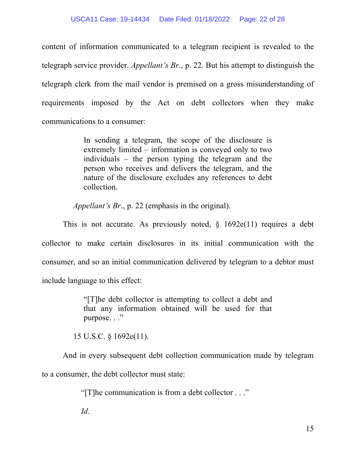content of information communicated to a telegram recipient is revealed to the telegraph service provider. *Appellant's Br*., p. 22. But his attempt to distinguish the telegraph clerk from the mail vendor is premised on a gross misunderstanding of requirements imposed by the Act on debt collectors when they make communications to a consumer:

> In sending a telegram, the scope of the disclosure is extremely limited – information is conveyed only to two individuals – the person typing the telegram and the person who receives and delivers the telegram, and the nature of the disclosure excludes any references to debt collection.

*Appellant's Br*., p. 22 (emphasis in the original).

This is not accurate. As previously noted,  $\S$  1692e(11) requires a debt collector to make certain disclosures in its initial communication with the consumer, and so an initial communication delivered by telegram to a debtor must include language to this effect:

> "[T]he debt collector is attempting to collect a debt and that any information obtained will be used for that purpose. . ."

15 U.S.C. § 1692e(11).

And in every subsequent debt collection communication made by telegram to a consumer, the debt collector must state:

"[T]he communication is from a debt collector . . ."

*Id*.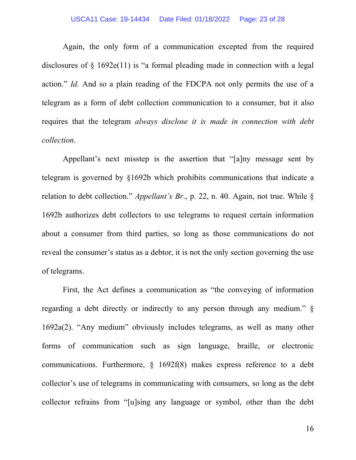Again, the only form of a communication excepted from the required disclosures of  $\S$  1692e(11) is "a formal pleading made in connection with a legal action." *Id.* And so a plain reading of the FDCPA not only permits the use of a telegram as a form of debt collection communication to a consumer, but it also requires that the telegram *always disclose it is made in connection with debt collection*.

Appellant's next misstep is the assertion that "[a]ny message sent by telegram is governed by §1692b which prohibits communications that indicate a relation to debt collection." *Appellant's Br*., p. 22, n. 40. Again, not true. While § 1692b authorizes debt collectors to use telegrams to request certain information about a consumer from third parties, so long as those communications do not reveal the consumer's status as a debtor, it is not the only section governing the use of telegrams.

First, the Act defines a communication as "the conveying of information regarding a debt directly or indirectly to any person through any medium." § 1692a(2). "Any medium" obviously includes telegrams, as well as many other forms of communication such as sign language, braille, or electronic communications. Furthermore, § 1692f(8) makes express reference to a debt collector's use of telegrams in communicating with consumers, so long as the debt collector refrains from "[u]sing any language or symbol, other than the debt

16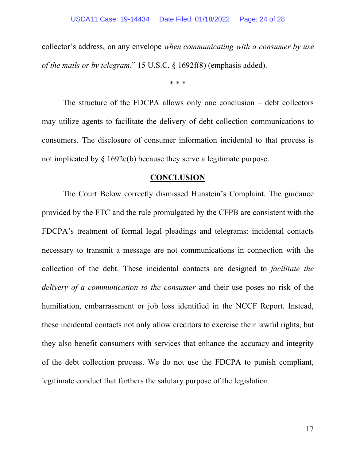collector's address, on any envelope *when communicating with a consumer by use of the mails or by telegram*." 15 U.S.C. § 1692f(8) (emphasis added).

\* \* \*

The structure of the FDCPA allows only one conclusion – debt collectors may utilize agents to facilitate the delivery of debt collection communications to consumers. The disclosure of consumer information incidental to that process is not implicated by § 1692c(b) because they serve a legitimate purpose.

### **CONCLUSION**

The Court Below correctly dismissed Hunstein's Complaint. The guidance provided by the FTC and the rule promulgated by the CFPB are consistent with the FDCPA's treatment of formal legal pleadings and telegrams: incidental contacts necessary to transmit a message are not communications in connection with the collection of the debt. These incidental contacts are designed to *facilitate the delivery of a communication to the consumer* and their use poses no risk of the humiliation, embarrassment or job loss identified in the NCCF Report. Instead, these incidental contacts not only allow creditors to exercise their lawful rights, but they also benefit consumers with services that enhance the accuracy and integrity of the debt collection process. We do not use the FDCPA to punish compliant, legitimate conduct that furthers the salutary purpose of the legislation.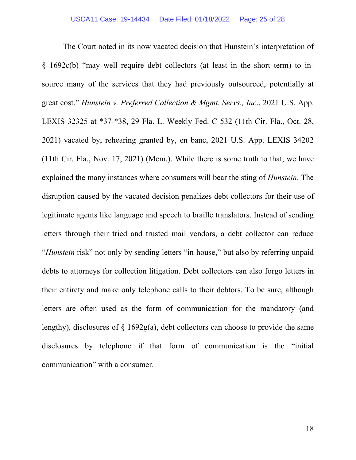The Court noted in its now vacated decision that Hunstein's interpretation of § 1692c(b) "may well require debt collectors (at least in the short term) to insource many of the services that they had previously outsourced, potentially at great cost." *Hunstein v. Preferred Collection & Mgmt. Servs., Inc*., 2021 U.S. App. LEXIS 32325 at \*37-\*38, 29 Fla. L. Weekly Fed. C 532 (11th Cir. Fla., Oct. 28, 2021) vacated by, rehearing granted by, en banc, 2021 U.S. App. LEXIS 34202 (11th Cir. Fla., Nov. 17, 2021) (Mem.). While there is some truth to that, we have explained the many instances where consumers will bear the sting of *Hunstein*. The disruption caused by the vacated decision penalizes debt collectors for their use of legitimate agents like language and speech to braille translators. Instead of sending letters through their tried and trusted mail vendors, a debt collector can reduce "*Hunstein* risk" not only by sending letters "in-house," but also by referring unpaid debts to attorneys for collection litigation. Debt collectors can also forgo letters in their entirety and make only telephone calls to their debtors. To be sure, although letters are often used as the form of communication for the mandatory (and lengthy), disclosures of  $\S$  1692g(a), debt collectors can choose to provide the same disclosures by telephone if that form of communication is the "initial communication" with a consumer.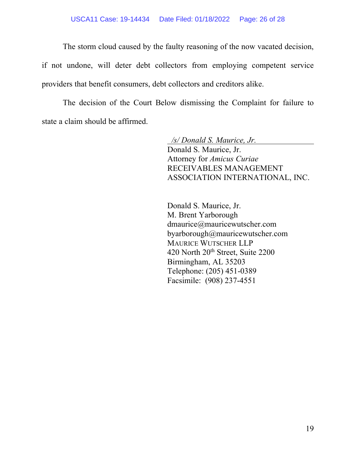The storm cloud caused by the faulty reasoning of the now vacated decision,

if not undone, will deter debt collectors from employing competent service providers that benefit consumers, debt collectors and creditors alike.

The decision of the Court Below dismissing the Complaint for failure to state a claim should be affirmed.

> */s/ Donald S. Maurice, Jr.* Donald S. Maurice, Jr. Attorney for *Amicus Curiae* RECEIVABLES MANAGEMENT ASSOCIATION INTERNATIONAL, INC.

Donald S. Maurice, Jr. M. Brent Yarborough dmaurice@mauricewutscher.com byarborough@mauricewutscher.com MAURICE WUTSCHER LLP 420 North 20<sup>th</sup> Street, Suite 2200 Birmingham, AL 35203 Telephone: (205) 451-0389 Facsimile: (908) 237-4551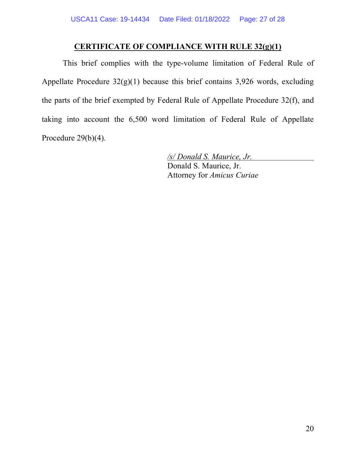## **CERTIFICATE OF COMPLIANCE WITH RULE 32(g)(1)**

This brief complies with the type-volume limitation of Federal Rule of Appellate Procedure 32(g)(1) because this brief contains 3,926 words, excluding the parts of the brief exempted by Federal Rule of Appellate Procedure 32(f), and taking into account the 6,500 word limitation of Federal Rule of Appellate Procedure 29(b)(4).

> */s/ Donald S. Maurice, Jr.* Donald S. Maurice, Jr. Attorney for *Amicus Curiae*